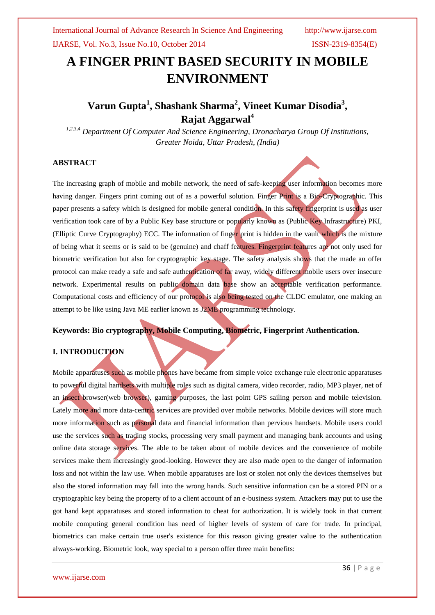# **A FINGER PRINT BASED SECURITY IN MOBILE ENVIRONMENT**

# **Varun Gupta<sup>1</sup> , Shashank Sharma<sup>2</sup> , Vineet Kumar Disodia<sup>3</sup> , Rajat Aggarwal<sup>4</sup>**

*1,2,3,4 Department Of Computer And Science Engineering, Dronacharya Group Of Institutions, Greater Noida, Uttar Pradesh, (India)*

# **ABSTRACT**

The increasing graph of mobile and mobile network, the need of safe-keeping user information becomes more having danger. Fingers print coming out of as a powerful solution. Finger Print is a Bio-Cryptographic. This paper presents a safety which is designed for mobile general condition. In this safety fingerprint is used as user verification took care of by a Public Key base structure or popularly known as (Public Key Infrastructure) PKI, (Elliptic Curve Cryptography) ECC. The information of finger print is hidden in the vault which is the mixture of being what it seems or is said to be (genuine) and chaff features. Fingerprint features are not only used for biometric verification but also for cryptographic key stage. The safety analysis shows that the made an offer protocol can make ready a safe and safe authentication of far away, widely different mobile users over insecure network. Experimental results on public domain data base show an acceptable verification performance. Computational costs and efficiency of our protocol is also being tested on the CLDC emulator, one making an attempt to be like using Java ME earlier known as J2ME programming technology.

# **Keywords: Bio cryptography, Mobile Computing, Biometric, Fingerprint Authentication.**

# **I. INTRODUCTION**

Mobile apparatuses such as mobile phones have became from simple voice exchange rule electronic apparatuses to powerful digital handsets with multiple roles such as digital camera, video recorder, radio, MP3 player, net of an insect browser(web browser), gaming purposes, the last point GPS sailing person and mobile television. Lately more and more data-centric services are provided over mobile networks. Mobile devices will store much more information such as personal data and financial information than pervious handsets. Mobile users could use the services such as trading stocks, processing very small payment and managing bank accounts and using online data storage services. The able to be taken about of mobile devices and the convenience of mobile services make them increasingly good-looking. However they are also made open to the danger of information loss and not within the law use. When mobile apparatuses are lost or stolen not only the devices themselves but also the stored information may fall into the wrong hands. Such sensitive information can be a stored PIN or a cryptographic key being the property of to a client account of an e-business system. Attackers may put to use the got hand kept apparatuses and stored information to cheat for authorization. It is widely took in that current mobile computing general condition has need of higher levels of system of care for trade. In principal, biometrics can make certain true user's existence for this reason giving greater value to the authentication always-working. Biometric look, way special to a person offer three main benefits: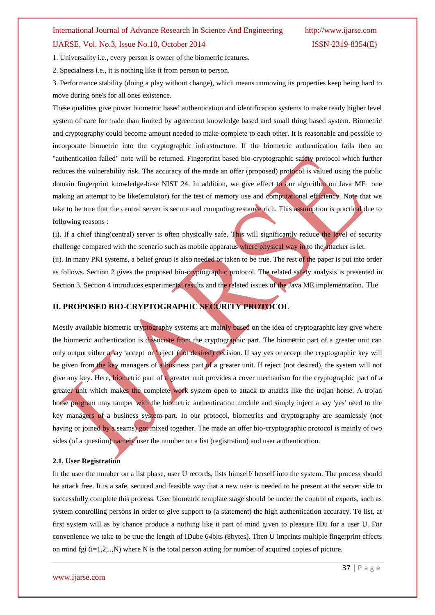# International Journal of Advance Research In Science And Engineering http://www.ijarse.com IJARSE, Vol. No.3, Issue No.10, October 2014 ISSN-2319-8354(E)

1. Universality i.e., every person is owner of the biometric features.

2. Specialness i.e., it is nothing like it from person to person.

3. Performance stability (doing a play without change), which means unmoving its properties keep being hard to move during one's for all ones existence.

These qualities give power biometric based authentication and identification systems to make ready higher level system of care for trade than limited by agreement knowledge based and small thing based system. Biometric and cryptography could become amount needed to make complete to each other. It is reasonable and possible to incorporate biometric into the cryptographic infrastructure. If the biometric authentication fails then an "authentication failed" note will be returned. Fingerprint based bio-cryptographic safety protocol which further reduces the vulnerability risk. The accuracy of the made an offer (proposed) protocol is valued using the public domain fingerprint knowledge-base NIST 24. In addition, we give effect to our algorithm on Java ME one making an attempt to be like(emulator) for the test of memory use and computational efficiency. Note that we take to be true that the central server is secure and computing resource rich. This assumption is practical due to following reasons :

(i). If a chief thing(central) server is often physically safe. This will significantly reduce the level of security challenge compared with the scenario such as mobile apparatus where physical way in to the attacker is let. (ii). In many PKI systems, a belief group is also needed or taken to be true. The rest of the paper is put into order as follows. Section 2 gives the proposed bio-cryptographic protocol. The related safety analysis is presented in Section 3. Section 4 introduces experimental results and the related issues of the Java ME implementation. The

# **II. PROPOSED BIO-CRYPTOGRAPHIC SECURITY PROTOCOL**

Mostly available biometric cryptography systems are mainly based on the idea of cryptographic key give where the biometric authentication is dissociate from the cryptographic part. The biometric part of a greater unit can only output either a say 'accept' or 'reject' (not desired) decision. If say yes or accept the cryptographic key will be given from the key managers of a business part of a greater unit. If reject (not desired), the system will not give any key. Here, biometric part of a greater unit provides a cover mechanism for the cryptographic part of a greater unit which makes the complete work system open to attack to attacks like the trojan horse. A trojan horse program may tamper with the biometric authentication module and simply inject a say 'yes' need to the key managers of a business system-part. In our protocol, biometrics and cryptography are seamlessly (not having or joined by a seams) got mixed together. The made an offer bio-cryptographic protocol is mainly of two sides (of a question) namely user the number on a list (registration) and user authentication.

### **2.1. User Registration**

In the user the number on a list phase, user U records, lists himself/ herself into the system. The process should be attack free. It is a safe, secured and feasible way that a new user is needed to be present at the server side to successfully complete this process. User biometric template stage should be under the control of experts, such as system controlling persons in order to give support to (a statement) the high authentication accuracy. To list, at first system will as by chance produce a nothing like it part of mind given to pleasure IDu for a user U. For convenience we take to be true the length of IDube 64bits (8bytes). Then U imprints multiple fingerprint effects on mind fgi  $(i=1,2,...N)$  where N is the total person acting for number of acquired copies of picture.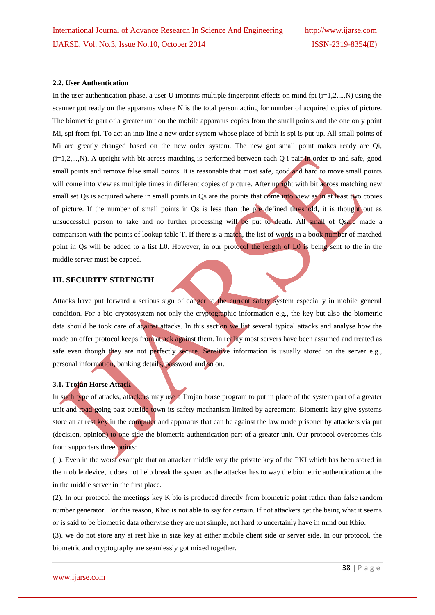#### **2.2. User Authentication**

In the user authentication phase, a user U imprints multiple fingerprint effects on mind fpi  $(i=1,2,...,N)$  using the scanner got ready on the apparatus where N is the total person acting for number of acquired copies of picture. The biometric part of a greater unit on the mobile apparatus copies from the small points and the one only point Mi, spi from fpi. To act an into line a new order system whose place of birth is spi is put up. All small points of Mi are greatly changed based on the new order system. The new got small point makes ready are Qi,  $(i=1,2,...,N)$ . A upright with bit across matching is performed between each Q i pair in order to and safe, good small points and remove false small points. It is reasonable that most safe, good and hard to move small points will come into view as multiple times in different copies of picture. After upright with bit across matching new small set Os is acquired where in small points in Os are the points that come into view as in at least two copies of picture. If the number of small points in Qs is less than the pre defined threshold, it is thought out as unsuccessful person to take and no further processing will be put to death. All small of Qsare made a comparison with the points of lookup table T. If there is a match, the list of words in a book number of matched point in Qs will be added to a list L0. However, in our protocol the length of L0 is being sent to the in the middle server must be capped.

## **III. SECURITY STRENGTH**

Attacks have put forward a serious sign of danger to the current safety system especially in mobile general condition. For a bio-cryptosystem not only the cryptographic information e.g., the key but also the biometric data should be took care of against attacks. In this section we list several typical attacks and analyse how the made an offer protocol keeps from attack against them. In reality most servers have been assumed and treated as safe even though they are not perfectly secure. Sensitive information is usually stored on the server e.g., personal information, banking details, password and so on.

#### **3.1. Trojan Horse Attack**

In such type of attacks, attackers may use a Trojan horse program to put in place of the system part of a greater unit and road going past outside town its safety mechanism limited by agreement. Biometric key give systems store an at rest key in the computer and apparatus that can be against the law made prisoner by attackers via put (decision, opinion) to one side the biometric authentication part of a greater unit. Our protocol overcomes this from supporters three points:

(1). Even in the worst example that an attacker middle way the private key of the PKI which has been stored in the mobile device, it does not help break the system as the attacker has to way the biometric authentication at the in the middle server in the first place.

(2). In our protocol the meetings key K bio is produced directly from biometric point rather than false random number generator. For this reason, Kbio is not able to say for certain. If not attackers get the being what it seems or is said to be biometric data otherwise they are not simple, not hard to uncertainly have in mind out Kbio.

(3). we do not store any at rest like in size key at either mobile client side or server side. In our protocol, the biometric and cryptography are seamlessly got mixed together.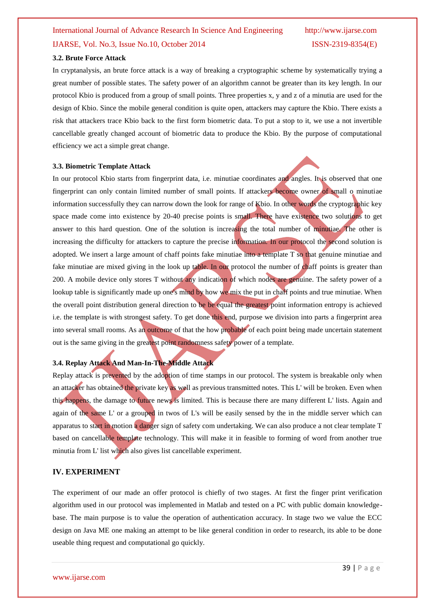# International Journal of Advance Research In Science And Engineering http://www.ijarse.com IJARSE, Vol. No.3, Issue No.10, October 2014 ISSN-2319-8354(E)

# **3.2. Brute Force Attack**

In cryptanalysis, an brute force attack is a way of breaking a cryptographic scheme by systematically trying a great number of possible states. The safety power of an algorithm cannot be greater than its key length. In our protocol Kbio is produced from a group of small points. Three properties x, y and z of a minutia are used for the design of Kbio. Since the mobile general condition is quite open, attackers may capture the Kbio. There exists a risk that attackers trace Kbio back to the first form biometric data. To put a stop to it, we use a not invertible cancellable greatly changed account of biometric data to produce the Kbio. By the purpose of computational efficiency we act a simple great change.

#### **3.3. Biometric Template Attack**

In our protocol Kbio starts from fingerprint data, i.e. minutiae coordinates and angles. It is observed that one fingerprint can only contain limited number of small points. If attackers become owner of small o minutiae information successfully they can narrow down the look for range of Kbio. In other words the cryptographic key space made come into existence by 20-40 precise points is small. There have existence two solutions to get answer to this hard question. One of the solution is increasing the total number of minutiae. The other is increasing the difficulty for attackers to capture the precise information. In our protocol the second solution is adopted. We insert a large amount of chaff points fake minutiae into a template T so that genuine minutiae and fake minutiae are mixed giving in the look up table. In our protocol the number of chaff points is greater than 200. A mobile device only stores T without any indication of which nodes are genuine. The safety power of a lookup table is significantly made up one's mind by how we mix the put in chaff points and true minutiae. When the overall point distribution general direction to be be equal the greatest point information entropy is achieved i.e. the template is with strongest safety. To get done this end, purpose we division into parts a fingerprint area into several small rooms. As an outcome of that the how probable of each point being made uncertain statement out is the same giving in the greatest point randomness safety power of a template.

## **3.4. Replay Attack And Man-In-The-Middle Attack**

Replay attack is prevented by the adoption of time stamps in our protocol. The system is breakable only when an attacker has obtained the private key as well as previous transmitted notes. This L' will be broken. Even when this happens, the damage to future news is limited. This is because there are many different L' lists. Again and again of the same L' or a grouped in twos of L's will be easily sensed by the in the middle server which can apparatus to start in motion a danger sign of safety com undertaking. We can also produce a not clear template T based on cancellable template technology. This will make it in feasible to forming of word from another true minutia from L' list which also gives list cancellable experiment.

## **IV. EXPERIMENT**

The experiment of our made an offer protocol is chiefly of two stages. At first the finger print verification algorithm used in our protocol was implemented in Matlab and tested on a PC with public domain knowledgebase. The main purpose is to value the operation of authentication accuracy. In stage two we value the ECC design on Java ME one making an attempt to be like general condition in order to research, its able to be done useable thing request and computational go quickly.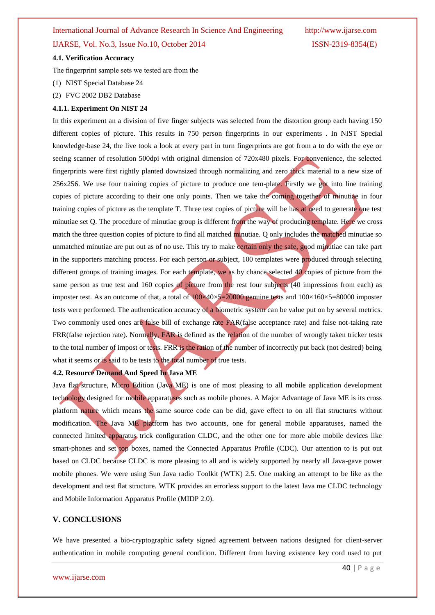# International Journal of Advance Research In Science And Engineering http://www.ijarse.com

# IJARSE, Vol. No.3, Issue No.10, October 2014 ISSN-2319-8354(E)

### **4.1. Verification Accuracy**

The fingerprint sample sets we tested are from the

- (1) NIST Special Database 24
- (2) FVC 2002 DB2 Database

#### **4.1.1. Experiment On NIST 24**

In this experiment an a division of five finger subjects was selected from the distortion group each having 150 different copies of picture. This results in 750 person fingerprints in our experiments . In NIST Special knowledge-base 24, the live took a look at every part in turn fingerprints are got from a to do with the eye or seeing scanner of resolution 500dpi with original dimension of 720x480 pixels. For convenience, the selected fingerprints were first rightly planted downsized through normalizing and zero thick material to a new size of 256x256. We use four training copies of picture to produce one tem-plate. Firstly we got into line training copies of picture according to their one only points. Then we take the coming together of minutiae in four training copies of picture as the template T. Three test copies of picture will be has at need to generate one test minutiae set Q. The procedure of minutiae group is different from the way of producing template. Here we cross match the three question copies of picture to find all matched minutiae. Q only includes the matched minutiae so unmatched minutiae are put out as of no use. This try to make certain only the safe, good minutiae can take part in the supporters matching process. For each person or subject, 100 templates were produced through selecting different groups of training images. For each template, we as by chance selected  $40$  copies of picture from the same person as true test and 160 copies of picture from the rest four subjects (40 impressions from each) as imposter test. As an outcome of that, a total of  $100\times40\times5=20000$  genuine tests and  $100\times160\times5=80000$  imposter tests were performed. The authentication accuracy of a biometric system can be value put on by several metrics. Two commonly used ones are false bill of exchange rate FAR(false acceptance rate) and false not-taking rate FRR(false rejection rate). Normally, FAR is defined as the relation of the number of wrongly taken tricker tests to the total number of impost or tests. FRR is the ration of the number of incorrectly put back (not desired) being what it seems or is said to be tests to the total number of true tests.

#### **4.2. Resource Demand And Speed In Java ME**

Java flat structure, Micro Edition (Java ME) is one of most pleasing to all mobile application development technology designed for mobile apparatuses such as mobile phones. A Major Advantage of Java ME is its cross platform nature which means the same source code can be did, gave effect to on all flat structures without modification. The Java ME platform has two accounts, one for general mobile apparatuses, named the connected limited apparatus trick configuration CLDC, and the other one for more able mobile devices like smart-phones and set top boxes, named the Connected Apparatus Profile (CDC). Our attention to is put out based on CLDC because CLDC is more pleasing to all and is widely supported by nearly all Java-gave power mobile phones. We were using Sun Java radio Toolkit (WTK) 2.5. One making an attempt to be like as the development and test flat structure. WTK provides an errorless support to the latest Java me CLDC technology and Mobile Information Apparatus Profile (MIDP 2.0).

### **V. CONCLUSIONS**

We have presented a bio-cryptographic safety signed agreement between nations designed for client-server authentication in mobile computing general condition. Different from having existence key cord used to put